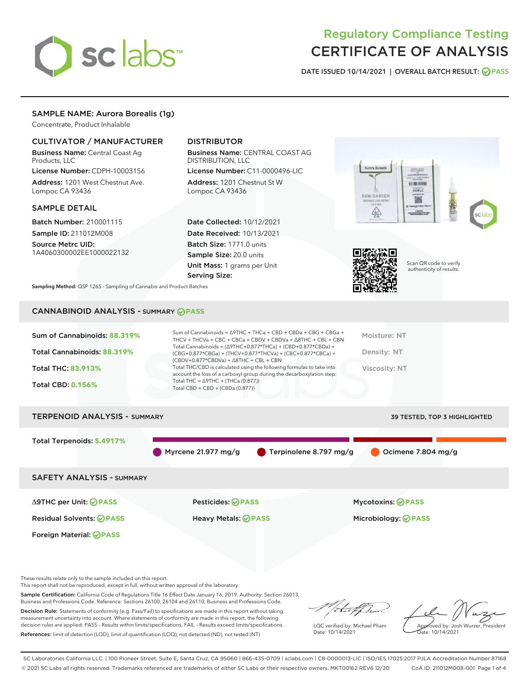

# Regulatory Compliance Testing CERTIFICATE OF ANALYSIS

DATE ISSUED 10/14/2021 | OVERALL BATCH RESULT: @ PASS

# SAMPLE NAME: Aurora Borealis (1g)

Concentrate, Product Inhalable

# CULTIVATOR / MANUFACTURER

Business Name: Central Coast Ag Products, LLC

License Number: CDPH-10003156 Address: 1201 West Chestnut Ave. Lompoc CA 93436

### SAMPLE DETAIL

Batch Number: 210001115 Sample ID: 211012M008

Source Metrc UID: 1A4060300002EE1000022132

# DISTRIBUTOR

Business Name: CENTRAL COAST AG DISTRIBUTION, LLC

License Number: C11-0000496-LIC Address: 1201 Chestnut St W Lompoc CA 93436

Date Collected: 10/12/2021 Date Received: 10/13/2021 Batch Size: 1771.0 units Sample Size: 20.0 units Unit Mass: 1 grams per Unit Serving Size:





Scan QR code to verify authenticity of results.

Sampling Method: QSP 1265 - Sampling of Cannabis and Product Batches

# CANNABINOID ANALYSIS - SUMMARY **PASS**

| Sum of Cannabinoids: 88.319%        | Sum of Cannabinoids = ∆9THC + THCa + CBD + CBDa + CBG + CBGa +<br>THCV + THCVa + CBC + CBCa + CBDV + CBDVa + $\land$ 8THC + CBL + CBN<br>Total Cannabinoids = $(\Delta$ 9THC+0.877*THCa) + (CBD+0.877*CBDa) + | Moisture: NT                        |
|-------------------------------------|---------------------------------------------------------------------------------------------------------------------------------------------------------------------------------------------------------------|-------------------------------------|
| Total Cannabinoids: 88.319%         | (CBG+0.877*CBGa) + (THCV+0.877*THCVa) + (CBC+0.877*CBCa) +<br>$(CBDV+0.877*CBDVa) + \Delta 8THC + CBL + CBN$                                                                                                  | Density: NT                         |
| <b>Total THC: 83.913%</b>           | Total THC/CBD is calculated using the following formulas to take into<br>account the loss of a carboxyl group during the decarboxylation step:                                                                | Viscosity: NT                       |
| <b>Total CBD: 0.156%</b>            | Total THC = $\triangle$ 9THC + (THCa (0.877))<br>Total CBD = $CBD + (CBDa (0.877))$                                                                                                                           |                                     |
| <b>TERPENOID ANALYSIS - SUMMARY</b> |                                                                                                                                                                                                               | <b>39 TESTED, TOP 3 HIGHLIGHTED</b> |
|                                     |                                                                                                                                                                                                               |                                     |

Total Terpenoids: **5.4917%**

Myrcene 21.977 mg/g  $\bullet$  Terpinolene 8.797 mg/g  $\bullet$  Ocimene 7.804 mg/g

SAFETY ANALYSIS - SUMMARY

Δ9THC per Unit: **PASS** Pesticides: **PASS** Mycotoxins: **PASS**

Foreign Material: **PASS**

Residual Solvents: **PASS** Heavy Metals: **PASS** Microbiology: **PASS**

These results relate only to the sample included on this report.

This report shall not be reproduced, except in full, without written approval of the laboratory.

Sample Certification: California Code of Regulations Title 16 Effect Date January 16, 2019. Authority: Section 26013, Business and Professions Code. Reference: Sections 26100, 26104 and 26110, Business and Professions Code.

Decision Rule: Statements of conformity (e.g. Pass/Fail) to specifications are made in this report without taking measurement uncertainty into account. Where statements of conformity are made in this report, the following decision rules are applied: PASS – Results within limits/specifications, FAIL – Results exceed limits/specifications. References: limit of detection (LOD), limit of quantification (LOQ), not detected (ND), not tested (NT)

da f fr

LQC verified by: Michael Pham Date: 10/14/2021

Approved by: Josh Wurzer, President ate: 10/14/2021

SC Laboratories California LLC. | 100 Pioneer Street, Suite E, Santa Cruz, CA 95060 | 866-435-0709 | sclabs.com | C8-0000013-LIC | ISO/IES 17025:2017 PJLA Accreditation Number 87168 © 2021 SC Labs all rights reserved. Trademarks referenced are trademarks of either SC Labs or their respective owners. MKT00162 REV6 12/20 CoA ID: 211012M008-001 Page 1 of 4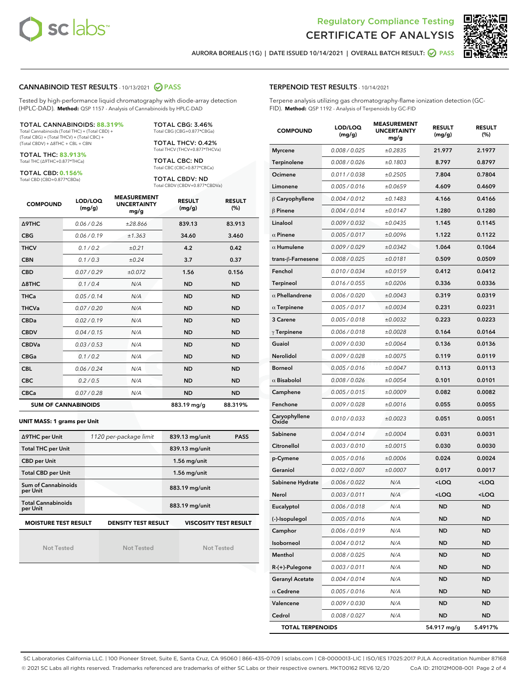



AURORA BOREALIS (1G) | DATE ISSUED 10/14/2021 | OVERALL BATCH RESULT: 2 PASS

### CANNABINOID TEST RESULTS - 10/13/2021 2 PASS

Tested by high-performance liquid chromatography with diode-array detection (HPLC-DAD). **Method:** QSP 1157 - Analysis of Cannabinoids by HPLC-DAD

#### TOTAL CANNABINOIDS: **88.319%**

Total Cannabinoids (Total THC) + (Total CBD) + (Total CBG) + (Total THCV) + (Total CBC) + (Total CBDV) + ∆8THC + CBL + CBN

TOTAL THC: **83.913%** Total THC (∆9THC+0.877\*THCa)

TOTAL CBD: **0.156%**

Total CBD (CBD+0.877\*CBDa)

TOTAL CBG: 3.46% Total CBG (CBG+0.877\*CBGa)

TOTAL THCV: 0.42% Total THCV (THCV+0.877\*THCVa)

TOTAL CBC: ND Total CBC (CBC+0.877\*CBCa)

TOTAL CBDV: ND Total CBDV (CBDV+0.877\*CBDVa)

| <b>COMPOUND</b>            | LOD/LOQ<br>(mg/g) | <b>MEASUREMENT</b><br><b>UNCERTAINTY</b><br>mg/g | <b>RESULT</b><br>(mg/g) | <b>RESULT</b><br>(%) |
|----------------------------|-------------------|--------------------------------------------------|-------------------------|----------------------|
| <b>A9THC</b>               | 0.06 / 0.26       | ±28.866                                          | 839.13                  | 83.913               |
| <b>CBG</b>                 | 0.06/0.19         | ±1.363                                           | 34.60                   | 3.460                |
| <b>THCV</b>                | 0.1 / 0.2         | ±0.21                                            | 4.2                     | 0.42                 |
| <b>CBN</b>                 | 0.1 / 0.3         | ±0.24                                            | 3.7                     | 0.37                 |
| <b>CBD</b>                 | 0.07/0.29         | ±0.072                                           | 1.56                    | 0.156                |
| $\triangle$ 8THC           | 0.1 / 0.4         | N/A                                              | <b>ND</b>               | <b>ND</b>            |
| <b>THCa</b>                | 0.05/0.14         | N/A                                              | <b>ND</b>               | <b>ND</b>            |
| <b>THCVa</b>               | 0.07/0.20         | N/A                                              | <b>ND</b>               | <b>ND</b>            |
| <b>CBDa</b>                | 0.02/0.19         | N/A                                              | <b>ND</b>               | <b>ND</b>            |
| <b>CBDV</b>                | 0.04/0.15         | N/A                                              | <b>ND</b>               | <b>ND</b>            |
| <b>CBDVa</b>               | 0.03/0.53         | N/A                                              | <b>ND</b>               | <b>ND</b>            |
| <b>CBGa</b>                | 0.1/0.2           | N/A                                              | <b>ND</b>               | <b>ND</b>            |
| <b>CBL</b>                 | 0.06 / 0.24       | N/A                                              | <b>ND</b>               | <b>ND</b>            |
| <b>CBC</b>                 | 0.2 / 0.5         | N/A                                              | <b>ND</b>               | <b>ND</b>            |
| <b>CBCa</b>                | 0.07/0.28         | N/A                                              | <b>ND</b>               | <b>ND</b>            |
| <b>SUM OF CANNABINOIDS</b> |                   |                                                  | 883.19 mg/g             | 88.319%              |

#### **UNIT MASS: 1 grams per Unit**

| ∆9THC per Unit                        | 1120 per-package limit                                     | 839.13 mg/unit<br><b>PASS</b> |
|---------------------------------------|------------------------------------------------------------|-------------------------------|
| <b>Total THC per Unit</b>             |                                                            | 839.13 mg/unit                |
| <b>CBD per Unit</b>                   |                                                            | $1.56$ mg/unit                |
| <b>Total CBD per Unit</b>             |                                                            | $1.56$ mg/unit                |
| Sum of Cannabinoids<br>per Unit       |                                                            | 883.19 mg/unit                |
| <b>Total Cannabinoids</b><br>per Unit |                                                            | 883.19 mg/unit                |
| <b>MOISTURE TEST RESULT</b>           | <b>VISCOSITY TEST RESULT</b><br><b>DENSITY TEST RESULT</b> |                               |

Not Tested

Not Tested

Not Tested

#### TERPENOID TEST RESULTS - 10/14/2021

Terpene analysis utilizing gas chromatography-flame ionization detection (GC-FID). **Method:** QSP 1192 - Analysis of Terpenoids by GC-FID

| <b>COMPOUND</b>         | LOD/LOQ<br>(mg/g) | <b>MEASUREMENT</b><br><b>UNCERTAINTY</b><br>mg/g | <b>RESULT</b><br>(mg/g)                         | <b>RESULT</b><br>(%) |
|-------------------------|-------------------|--------------------------------------------------|-------------------------------------------------|----------------------|
| <b>Myrcene</b>          | 0.008 / 0.025     | ±0.2835                                          | 21.977                                          | 2.1977               |
| Terpinolene             | 0.008 / 0.026     | ±0.1803                                          | 8.797                                           | 0.8797               |
| Ocimene                 | 0.011 / 0.038     | ±0.2505                                          | 7.804                                           | 0.7804               |
| Limonene                | 0.005 / 0.016     | ±0.0659                                          | 4.609                                           | 0.4609               |
| $\beta$ Caryophyllene   | 0.004 / 0.012     | ±0.1483                                          | 4.166                                           | 0.4166               |
| $\beta$ Pinene          | 0.004 / 0.014     | ±0.0147                                          | 1.280                                           | 0.1280               |
| Linalool                | 0.009 / 0.032     | ±0.0435                                          | 1.145                                           | 0.1145               |
| $\alpha$ Pinene         | 0.005 / 0.017     | ±0.0096                                          | 1.122                                           | 0.1122               |
| $\alpha$ Humulene       | 0.009/0.029       | ±0.0342                                          | 1.064                                           | 0.1064               |
| trans-β-Farnesene       | 0.008 / 0.025     | ±0.0181                                          | 0.509                                           | 0.0509               |
| Fenchol                 | 0.010 / 0.034     | ±0.0159                                          | 0.412                                           | 0.0412               |
| <b>Terpineol</b>        | 0.016 / 0.055     | ±0.0206                                          | 0.336                                           | 0.0336               |
| $\alpha$ Phellandrene   | 0.006 / 0.020     | ±0.0043                                          | 0.319                                           | 0.0319               |
| $\alpha$ Terpinene      | 0.005 / 0.017     | ±0.0034                                          | 0.231                                           | 0.0231               |
| 3 Carene                | 0.005 / 0.018     | ±0.0032                                          | 0.223                                           | 0.0223               |
| $\gamma$ Terpinene      | 0.006 / 0.018     | ±0.0028                                          | 0.164                                           | 0.0164               |
| Guaiol                  | 0.009 / 0.030     | ±0.0064                                          | 0.136                                           | 0.0136               |
| Nerolidol               | 0.009 / 0.028     | ±0.0075                                          | 0.119                                           | 0.0119               |
| <b>Borneol</b>          | 0.005 / 0.016     | ±0.0047                                          | 0.113                                           | 0.0113               |
| $\alpha$ Bisabolol      | 0.008 / 0.026     | ±0.0054                                          | 0.101                                           | 0.0101               |
| Camphene                | 0.005 / 0.015     | ±0.0009                                          | 0.082                                           | 0.0082               |
| Fenchone                | 0.009 / 0.028     | ±0.0016                                          | 0.055                                           | 0.0055               |
| Caryophyllene<br>Oxide  | 0.010 / 0.033     | ±0.0023                                          | 0.051                                           | 0.0051               |
| Sabinene                | 0.004 / 0.014     | ±0.0004                                          | 0.031                                           | 0.0031               |
| Citronellol             | 0.003 / 0.010     | ±0.0015                                          | 0.030                                           | 0.0030               |
| p-Cymene                | 0.005 / 0.016     | ±0.0006                                          | 0.024                                           | 0.0024               |
| Geraniol                | 0.002 / 0.007     | ±0.0007                                          | 0.017                                           | 0.0017               |
| Sabinene Hydrate        | 0.006 / 0.022     | N/A                                              | <loq< th=""><th><loq< th=""></loq<></th></loq<> | <loq< th=""></loq<>  |
| Nerol                   | 0.003 / 0.011     | N/A                                              | <loq< th=""><th><loq< th=""></loq<></th></loq<> | <loq< th=""></loq<>  |
| Eucalyptol              | 0.006 / 0.018     | N/A                                              | <b>ND</b>                                       | <b>ND</b>            |
| (-)-Isopulegol          | 0.005 / 0.016     | N/A                                              | ND                                              | ND                   |
| Camphor                 | 0.006 / 0.019     | N/A                                              | ND                                              | ND                   |
| Isoborneol              | 0.004 / 0.012     | N/A                                              | <b>ND</b>                                       | ND                   |
| Menthol                 | 0.008 / 0.025     | N/A                                              | <b>ND</b>                                       | <b>ND</b>            |
| R-(+)-Pulegone          | 0.003 / 0.011     | N/A                                              | ND                                              | ND                   |
| <b>Geranyl Acetate</b>  | 0.004 / 0.014     | N/A                                              | <b>ND</b>                                       | ND                   |
| $\alpha$ Cedrene        | 0.005 / 0.016     | N/A                                              | <b>ND</b>                                       | <b>ND</b>            |
| Valencene               | 0.009 / 0.030     | N/A                                              | ND                                              | ND                   |
| Cedrol                  | 0.008 / 0.027     | N/A                                              | <b>ND</b>                                       | ND                   |
| <b>TOTAL TERPENOIDS</b> |                   |                                                  | 54.917 mg/g                                     | 5.4917%              |

SC Laboratories California LLC. | 100 Pioneer Street, Suite E, Santa Cruz, CA 95060 | 866-435-0709 | sclabs.com | C8-0000013-LIC | ISO/IES 17025:2017 PJLA Accreditation Number 87168 © 2021 SC Labs all rights reserved. Trademarks referenced are trademarks of either SC Labs or their respective owners. MKT00162 REV6 12/20 CoA ID: 211012M008-001 Page 2 of 4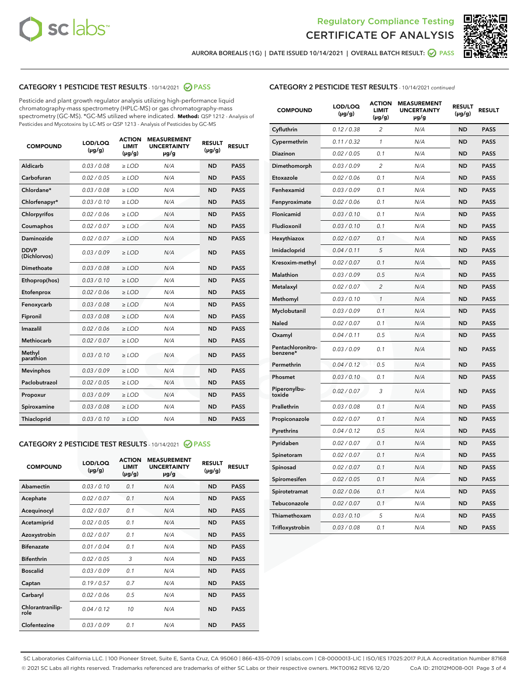



AURORA BOREALIS (1G) | DATE ISSUED 10/14/2021 | OVERALL BATCH RESULT: @ PASS

# CATEGORY 1 PESTICIDE TEST RESULTS - 10/14/2021 @ PASS

Pesticide and plant growth regulator analysis utilizing high-performance liquid chromatography-mass spectrometry (HPLC-MS) or gas chromatography-mass spectrometry (GC-MS). \*GC-MS utilized where indicated. **Method:** QSP 1212 - Analysis of Pesticides and Mycotoxins by LC-MS or QSP 1213 - Analysis of Pesticides by GC-MS

| 0.03/0.08<br><b>ND</b><br>Aldicarb<br>$>$ LOD<br>N/A<br><b>PASS</b><br>Carbofuran<br>0.02 / 0.05<br><b>ND</b><br><b>PASS</b><br>$>$ LOD<br>N/A<br>Chlordane*<br>0.03 / 0.08<br>N/A<br><b>ND</b><br><b>PASS</b><br>$\ge$ LOD<br>Chlorfenapyr*<br>0.03/0.10<br><b>ND</b><br><b>PASS</b><br>$\ge$ LOD<br>N/A<br>N/A<br><b>ND</b><br><b>PASS</b><br>Chlorpyrifos<br>0.02 / 0.06<br>$\ge$ LOD<br>Coumaphos<br>0.02 / 0.07<br>N/A<br><b>ND</b><br><b>PASS</b><br>$\ge$ LOD<br>Daminozide<br>0.02 / 0.07<br>N/A<br><b>ND</b><br><b>PASS</b><br>$\ge$ LOD<br><b>DDVP</b><br>0.03/0.09<br>$>$ LOD<br>N/A<br><b>ND</b><br><b>PASS</b><br>(Dichlorvos)<br>Dimethoate<br>0.03/0.08<br>$>$ LOD<br>N/A<br><b>ND</b><br><b>PASS</b><br>0.03/0.10<br><b>ND</b><br><b>PASS</b><br>Ethoprop(hos)<br>$\ge$ LOD<br>N/A<br>0.02 / 0.06<br>N/A<br><b>ND</b><br><b>PASS</b><br>Etofenprox<br>$\ge$ LOD<br>Fenoxycarb<br>0.03 / 0.08<br>N/A<br><b>ND</b><br><b>PASS</b><br>$\ge$ LOD<br>0.03/0.08<br><b>ND</b><br><b>PASS</b><br>Fipronil<br>$\ge$ LOD<br>N/A<br>Imazalil<br>0.02 / 0.06<br>$\ge$ LOD<br>N/A<br><b>ND</b><br><b>PASS</b><br><b>Methiocarb</b><br>0.02 / 0.07<br><b>PASS</b><br>$\ge$ LOD<br>N/A<br><b>ND</b><br>Methyl<br>0.03/0.10<br>$\ge$ LOD<br>N/A<br><b>ND</b><br><b>PASS</b><br>parathion<br>0.03/0.09<br><b>ND</b><br><b>Mevinphos</b><br>$\ge$ LOD<br>N/A<br><b>PASS</b><br>Paclobutrazol<br>0.02 / 0.05<br>$\ge$ LOD<br>N/A<br><b>ND</b><br><b>PASS</b><br>0.03/0.09<br>$\ge$ LOD<br>N/A<br><b>ND</b><br><b>PASS</b><br>Propoxur<br>Spiroxamine<br>0.03 / 0.08<br>$\ge$ LOD<br>N/A<br><b>ND</b><br><b>PASS</b><br>0.03/0.10<br><b>ND</b><br><b>PASS</b><br><b>Thiacloprid</b><br>$\ge$ LOD<br>N/A | <b>COMPOUND</b> | LOD/LOQ<br>$(\mu g/g)$ | <b>ACTION</b><br>LIMIT<br>$(\mu g/g)$ | <b>MEASUREMENT</b><br><b>UNCERTAINTY</b><br>$\mu$ g/g | <b>RESULT</b><br>$(\mu g/g)$ | <b>RESULT</b> |
|-----------------------------------------------------------------------------------------------------------------------------------------------------------------------------------------------------------------------------------------------------------------------------------------------------------------------------------------------------------------------------------------------------------------------------------------------------------------------------------------------------------------------------------------------------------------------------------------------------------------------------------------------------------------------------------------------------------------------------------------------------------------------------------------------------------------------------------------------------------------------------------------------------------------------------------------------------------------------------------------------------------------------------------------------------------------------------------------------------------------------------------------------------------------------------------------------------------------------------------------------------------------------------------------------------------------------------------------------------------------------------------------------------------------------------------------------------------------------------------------------------------------------------------------------------------------------------------------------------------------------------------------------------------------------------------------------------|-----------------|------------------------|---------------------------------------|-------------------------------------------------------|------------------------------|---------------|
|                                                                                                                                                                                                                                                                                                                                                                                                                                                                                                                                                                                                                                                                                                                                                                                                                                                                                                                                                                                                                                                                                                                                                                                                                                                                                                                                                                                                                                                                                                                                                                                                                                                                                                     |                 |                        |                                       |                                                       |                              |               |
|                                                                                                                                                                                                                                                                                                                                                                                                                                                                                                                                                                                                                                                                                                                                                                                                                                                                                                                                                                                                                                                                                                                                                                                                                                                                                                                                                                                                                                                                                                                                                                                                                                                                                                     |                 |                        |                                       |                                                       |                              |               |
|                                                                                                                                                                                                                                                                                                                                                                                                                                                                                                                                                                                                                                                                                                                                                                                                                                                                                                                                                                                                                                                                                                                                                                                                                                                                                                                                                                                                                                                                                                                                                                                                                                                                                                     |                 |                        |                                       |                                                       |                              |               |
|                                                                                                                                                                                                                                                                                                                                                                                                                                                                                                                                                                                                                                                                                                                                                                                                                                                                                                                                                                                                                                                                                                                                                                                                                                                                                                                                                                                                                                                                                                                                                                                                                                                                                                     |                 |                        |                                       |                                                       |                              |               |
|                                                                                                                                                                                                                                                                                                                                                                                                                                                                                                                                                                                                                                                                                                                                                                                                                                                                                                                                                                                                                                                                                                                                                                                                                                                                                                                                                                                                                                                                                                                                                                                                                                                                                                     |                 |                        |                                       |                                                       |                              |               |
|                                                                                                                                                                                                                                                                                                                                                                                                                                                                                                                                                                                                                                                                                                                                                                                                                                                                                                                                                                                                                                                                                                                                                                                                                                                                                                                                                                                                                                                                                                                                                                                                                                                                                                     |                 |                        |                                       |                                                       |                              |               |
|                                                                                                                                                                                                                                                                                                                                                                                                                                                                                                                                                                                                                                                                                                                                                                                                                                                                                                                                                                                                                                                                                                                                                                                                                                                                                                                                                                                                                                                                                                                                                                                                                                                                                                     |                 |                        |                                       |                                                       |                              |               |
|                                                                                                                                                                                                                                                                                                                                                                                                                                                                                                                                                                                                                                                                                                                                                                                                                                                                                                                                                                                                                                                                                                                                                                                                                                                                                                                                                                                                                                                                                                                                                                                                                                                                                                     |                 |                        |                                       |                                                       |                              |               |
|                                                                                                                                                                                                                                                                                                                                                                                                                                                                                                                                                                                                                                                                                                                                                                                                                                                                                                                                                                                                                                                                                                                                                                                                                                                                                                                                                                                                                                                                                                                                                                                                                                                                                                     |                 |                        |                                       |                                                       |                              |               |
|                                                                                                                                                                                                                                                                                                                                                                                                                                                                                                                                                                                                                                                                                                                                                                                                                                                                                                                                                                                                                                                                                                                                                                                                                                                                                                                                                                                                                                                                                                                                                                                                                                                                                                     |                 |                        |                                       |                                                       |                              |               |
|                                                                                                                                                                                                                                                                                                                                                                                                                                                                                                                                                                                                                                                                                                                                                                                                                                                                                                                                                                                                                                                                                                                                                                                                                                                                                                                                                                                                                                                                                                                                                                                                                                                                                                     |                 |                        |                                       |                                                       |                              |               |
|                                                                                                                                                                                                                                                                                                                                                                                                                                                                                                                                                                                                                                                                                                                                                                                                                                                                                                                                                                                                                                                                                                                                                                                                                                                                                                                                                                                                                                                                                                                                                                                                                                                                                                     |                 |                        |                                       |                                                       |                              |               |
|                                                                                                                                                                                                                                                                                                                                                                                                                                                                                                                                                                                                                                                                                                                                                                                                                                                                                                                                                                                                                                                                                                                                                                                                                                                                                                                                                                                                                                                                                                                                                                                                                                                                                                     |                 |                        |                                       |                                                       |                              |               |
|                                                                                                                                                                                                                                                                                                                                                                                                                                                                                                                                                                                                                                                                                                                                                                                                                                                                                                                                                                                                                                                                                                                                                                                                                                                                                                                                                                                                                                                                                                                                                                                                                                                                                                     |                 |                        |                                       |                                                       |                              |               |
|                                                                                                                                                                                                                                                                                                                                                                                                                                                                                                                                                                                                                                                                                                                                                                                                                                                                                                                                                                                                                                                                                                                                                                                                                                                                                                                                                                                                                                                                                                                                                                                                                                                                                                     |                 |                        |                                       |                                                       |                              |               |
|                                                                                                                                                                                                                                                                                                                                                                                                                                                                                                                                                                                                                                                                                                                                                                                                                                                                                                                                                                                                                                                                                                                                                                                                                                                                                                                                                                                                                                                                                                                                                                                                                                                                                                     |                 |                        |                                       |                                                       |                              |               |
|                                                                                                                                                                                                                                                                                                                                                                                                                                                                                                                                                                                                                                                                                                                                                                                                                                                                                                                                                                                                                                                                                                                                                                                                                                                                                                                                                                                                                                                                                                                                                                                                                                                                                                     |                 |                        |                                       |                                                       |                              |               |
|                                                                                                                                                                                                                                                                                                                                                                                                                                                                                                                                                                                                                                                                                                                                                                                                                                                                                                                                                                                                                                                                                                                                                                                                                                                                                                                                                                                                                                                                                                                                                                                                                                                                                                     |                 |                        |                                       |                                                       |                              |               |
|                                                                                                                                                                                                                                                                                                                                                                                                                                                                                                                                                                                                                                                                                                                                                                                                                                                                                                                                                                                                                                                                                                                                                                                                                                                                                                                                                                                                                                                                                                                                                                                                                                                                                                     |                 |                        |                                       |                                                       |                              |               |
|                                                                                                                                                                                                                                                                                                                                                                                                                                                                                                                                                                                                                                                                                                                                                                                                                                                                                                                                                                                                                                                                                                                                                                                                                                                                                                                                                                                                                                                                                                                                                                                                                                                                                                     |                 |                        |                                       |                                                       |                              |               |
|                                                                                                                                                                                                                                                                                                                                                                                                                                                                                                                                                                                                                                                                                                                                                                                                                                                                                                                                                                                                                                                                                                                                                                                                                                                                                                                                                                                                                                                                                                                                                                                                                                                                                                     |                 |                        |                                       |                                                       |                              |               |

# CATEGORY 2 PESTICIDE TEST RESULTS - 10/14/2021 @ PASS

| <b>COMPOUND</b>          | LOD/LOO<br>$(\mu g/g)$ | <b>ACTION</b><br>LIMIT<br>$(\mu g/g)$ | <b>MEASUREMENT</b><br><b>UNCERTAINTY</b><br>$\mu$ g/g | <b>RESULT</b><br>$(\mu g/g)$ | <b>RESULT</b> |  |
|--------------------------|------------------------|---------------------------------------|-------------------------------------------------------|------------------------------|---------------|--|
| Abamectin                | 0.03/0.10              | 0.1                                   | N/A                                                   | <b>ND</b>                    | <b>PASS</b>   |  |
| Acephate                 | 0.02/0.07              | 0.1                                   | N/A                                                   | <b>ND</b>                    | <b>PASS</b>   |  |
| Acequinocyl              | 0.02/0.07              | 0.1                                   | N/A                                                   | <b>ND</b>                    | <b>PASS</b>   |  |
| Acetamiprid              | 0.02/0.05              | 0.1                                   | N/A                                                   | <b>ND</b>                    | <b>PASS</b>   |  |
| Azoxystrobin             | 0.02/0.07              | 0.1                                   | N/A                                                   | <b>ND</b>                    | <b>PASS</b>   |  |
| <b>Bifenazate</b>        | 0.01/0.04              | 0.1                                   | N/A                                                   | <b>ND</b>                    | <b>PASS</b>   |  |
| <b>Bifenthrin</b>        | 0.02/0.05              | 3                                     | N/A                                                   | <b>ND</b>                    | <b>PASS</b>   |  |
| <b>Boscalid</b>          | 0.03/0.09              | 0.1                                   | N/A                                                   | <b>ND</b>                    | <b>PASS</b>   |  |
| Captan                   | 0.19/0.57              | 0.7                                   | N/A                                                   | <b>ND</b>                    | <b>PASS</b>   |  |
| Carbaryl                 | 0.02/0.06              | 0.5                                   | N/A                                                   | <b>ND</b>                    | <b>PASS</b>   |  |
| Chlorantranilip-<br>role | 0.04/0.12              | 10                                    | N/A                                                   | <b>ND</b>                    | <b>PASS</b>   |  |
| Clofentezine             | 0.03/0.09              | 0.1                                   | N/A                                                   | <b>ND</b>                    | <b>PASS</b>   |  |

# CATEGORY 2 PESTICIDE TEST RESULTS - 10/14/2021 continued

| <b>COMPOUND</b>               | LOD/LOQ<br>(µg/g) | <b>ACTION</b><br>LIMIT<br>(µg/g) | <b>MEASUREMENT</b><br><b>UNCERTAINTY</b><br>µg/g | <b>RESULT</b><br>(µg/g) | <b>RESULT</b> |
|-------------------------------|-------------------|----------------------------------|--------------------------------------------------|-------------------------|---------------|
| Cyfluthrin                    | 0.12 / 0.38       | $\overline{c}$                   | N/A                                              | <b>ND</b>               | <b>PASS</b>   |
| Cypermethrin                  | 0.11/0.32         | 1                                | N/A                                              | <b>ND</b>               | <b>PASS</b>   |
| <b>Diazinon</b>               | 0.02 / 0.05       | 0.1                              | N/A                                              | <b>ND</b>               | <b>PASS</b>   |
| Dimethomorph                  | 0.03 / 0.09       | 2                                | N/A                                              | <b>ND</b>               | <b>PASS</b>   |
| Etoxazole                     | 0.02 / 0.06       | 0.1                              | N/A                                              | <b>ND</b>               | <b>PASS</b>   |
| Fenhexamid                    | 0.03 / 0.09       | 0.1                              | N/A                                              | <b>ND</b>               | <b>PASS</b>   |
| Fenpyroximate                 | 0.02 / 0.06       | 0.1                              | N/A                                              | <b>ND</b>               | <b>PASS</b>   |
| Flonicamid                    | 0.03 / 0.10       | 0.1                              | N/A                                              | <b>ND</b>               | <b>PASS</b>   |
| Fludioxonil                   | 0.03/0.10         | 0.1                              | N/A                                              | <b>ND</b>               | <b>PASS</b>   |
| Hexythiazox                   | 0.02 / 0.07       | 0.1                              | N/A                                              | <b>ND</b>               | <b>PASS</b>   |
| Imidacloprid                  | 0.04 / 0.11       | 5                                | N/A                                              | <b>ND</b>               | <b>PASS</b>   |
| Kresoxim-methyl               | 0.02 / 0.07       | 0.1                              | N/A                                              | <b>ND</b>               | <b>PASS</b>   |
| Malathion                     | 0.03 / 0.09       | 0.5                              | N/A                                              | <b>ND</b>               | <b>PASS</b>   |
| Metalaxyl                     | 0.02 / 0.07       | $\overline{c}$                   | N/A                                              | <b>ND</b>               | <b>PASS</b>   |
| Methomyl                      | 0.03 / 0.10       | 1                                | N/A                                              | <b>ND</b>               | <b>PASS</b>   |
| Myclobutanil                  | 0.03/0.09         | 0.1                              | N/A                                              | <b>ND</b>               | <b>PASS</b>   |
| Naled                         | 0.02 / 0.07       | 0.1                              | N/A                                              | <b>ND</b>               | <b>PASS</b>   |
| Oxamyl                        | 0.04 / 0.11       | 0.5                              | N/A                                              | <b>ND</b>               | <b>PASS</b>   |
| Pentachloronitro-<br>benzene* | 0.03/0.09         | 0.1                              | N/A                                              | <b>ND</b>               | <b>PASS</b>   |
| Permethrin                    | 0.04 / 0.12       | 0.5                              | N/A                                              | <b>ND</b>               | <b>PASS</b>   |
| Phosmet                       | 0.03 / 0.10       | 0.1                              | N/A                                              | <b>ND</b>               | <b>PASS</b>   |
| Piperonylbu-<br>toxide        | 0.02 / 0.07       | 3                                | N/A                                              | <b>ND</b>               | <b>PASS</b>   |
| Prallethrin                   | 0.03 / 0.08       | 0.1                              | N/A                                              | <b>ND</b>               | <b>PASS</b>   |
| Propiconazole                 | 0.02 / 0.07       | 0.1                              | N/A                                              | <b>ND</b>               | <b>PASS</b>   |
| Pyrethrins                    | 0.04 / 0.12       | 0.5                              | N/A                                              | <b>ND</b>               | <b>PASS</b>   |
| Pyridaben                     | 0.02 / 0.07       | 0.1                              | N/A                                              | <b>ND</b>               | <b>PASS</b>   |
| Spinetoram                    | 0.02 / 0.07       | 0.1                              | N/A                                              | <b>ND</b>               | <b>PASS</b>   |
| Spinosad                      | 0.02 / 0.07       | 0.1                              | N/A                                              | <b>ND</b>               | <b>PASS</b>   |
| Spiromesifen                  | 0.02 / 0.05       | 0.1                              | N/A                                              | <b>ND</b>               | <b>PASS</b>   |
| Spirotetramat                 | 0.02 / 0.06       | 0.1                              | N/A                                              | <b>ND</b>               | <b>PASS</b>   |
| Tebuconazole                  | 0.02 / 0.07       | 0.1                              | N/A                                              | <b>ND</b>               | <b>PASS</b>   |
| Thiamethoxam                  | 0.03 / 0.10       | 5                                | N/A                                              | <b>ND</b>               | <b>PASS</b>   |
| Trifloxystrobin               | 0.03 / 0.08       | 0.1                              | N/A                                              | <b>ND</b>               | <b>PASS</b>   |

SC Laboratories California LLC. | 100 Pioneer Street, Suite E, Santa Cruz, CA 95060 | 866-435-0709 | sclabs.com | C8-0000013-LIC | ISO/IES 17025:2017 PJLA Accreditation Number 87168 © 2021 SC Labs all rights reserved. Trademarks referenced are trademarks of either SC Labs or their respective owners. MKT00162 REV6 12/20 CoA ID: 211012M008-001 Page 3 of 4